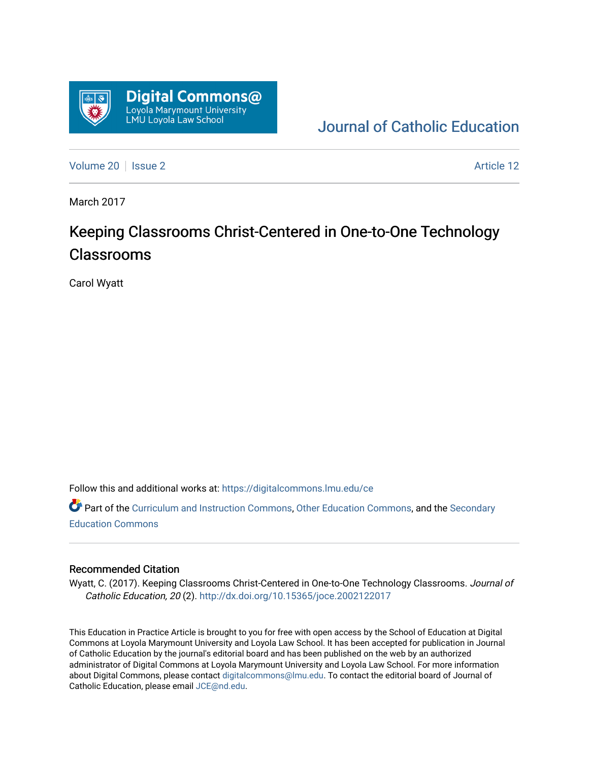

[Journal of Catholic Education](https://digitalcommons.lmu.edu/ce) 

[Volume 20](https://digitalcommons.lmu.edu/ce/vol20) | [Issue 2](https://digitalcommons.lmu.edu/ce/vol20/iss2) Article 12

March 2017

# Keeping Classrooms Christ-Centered in One-to-One Technology Classrooms

Carol Wyatt

Follow this and additional works at: [https://digitalcommons.lmu.edu/ce](https://digitalcommons.lmu.edu/ce?utm_source=digitalcommons.lmu.edu%2Fce%2Fvol20%2Fiss2%2F12&utm_medium=PDF&utm_campaign=PDFCoverPages)

Part of the [Curriculum and Instruction Commons,](https://network.bepress.com/hgg/discipline/786?utm_source=digitalcommons.lmu.edu%2Fce%2Fvol20%2Fiss2%2F12&utm_medium=PDF&utm_campaign=PDFCoverPages) [Other Education Commons,](https://network.bepress.com/hgg/discipline/811?utm_source=digitalcommons.lmu.edu%2Fce%2Fvol20%2Fiss2%2F12&utm_medium=PDF&utm_campaign=PDFCoverPages) and the [Secondary](https://network.bepress.com/hgg/discipline/1382?utm_source=digitalcommons.lmu.edu%2Fce%2Fvol20%2Fiss2%2F12&utm_medium=PDF&utm_campaign=PDFCoverPages)  [Education Commons](https://network.bepress.com/hgg/discipline/1382?utm_source=digitalcommons.lmu.edu%2Fce%2Fvol20%2Fiss2%2F12&utm_medium=PDF&utm_campaign=PDFCoverPages) 

### Recommended Citation

Wyatt, C. (2017). Keeping Classrooms Christ-Centered in One-to-One Technology Classrooms. Journal of Catholic Education, 20 (2). <http://dx.doi.org/10.15365/joce.2002122017>

This Education in Practice Article is brought to you for free with open access by the School of Education at Digital Commons at Loyola Marymount University and Loyola Law School. It has been accepted for publication in Journal of Catholic Education by the journal's editorial board and has been published on the web by an authorized administrator of Digital Commons at Loyola Marymount University and Loyola Law School. For more information about Digital Commons, please contact [digitalcommons@lmu.edu](mailto:digitalcommons@lmu.edu). To contact the editorial board of Journal of Catholic Education, please email [JCE@nd.edu.](mailto:JCE@nd.edu)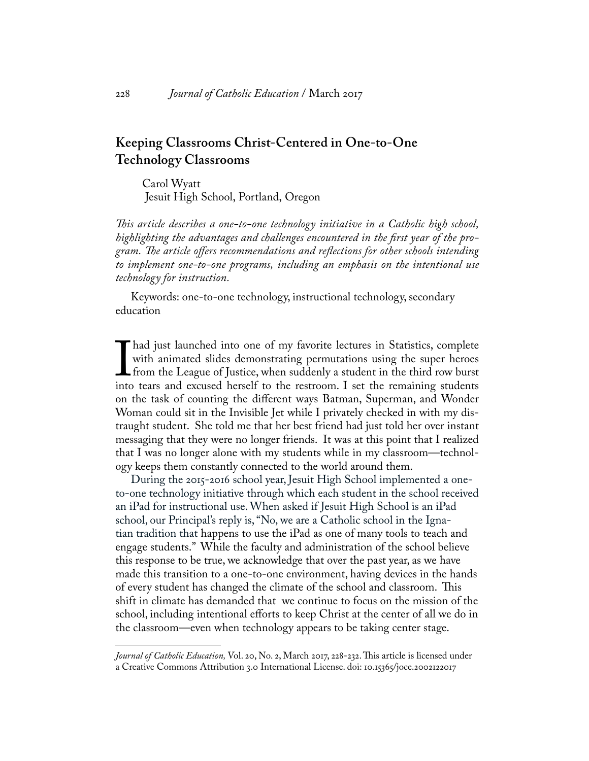# **Keeping Classrooms Christ-Centered in One-to-One Technology Classrooms**

Carol Wyatt Jesuit High School, Portland, Oregon

*This article describes a one-to-one technology initiative in a Catholic high school, highlighting the advantages and challenges encountered in the first year of the program. The article offers recommendations and reflections for other schools intending to implement one-to-one programs, including an emphasis on the intentional use technology for instruction.* 

Keywords: one-to-one technology, instructional technology, secondary education

I had just launched into one of my favorite lectures in Statistics, complete with animated slides demonstrating permutations using the super heroes from the League of Justice, when suddenly a student in the third row burst with animated slides demonstrating permutations using the super heroes from the League of Justice, when suddenly a student in the third row burst into tears and excused herself to the restroom. I set the remaining students on the task of counting the different ways Batman, Superman, and Wonder Woman could sit in the Invisible Jet while I privately checked in with my distraught student. She told me that her best friend had just told her over instant messaging that they were no longer friends. It was at this point that I realized that I was no longer alone with my students while in my classroom—technology keeps them constantly connected to the world around them.

During the 2015-2016 school year, Jesuit High School implemented a oneto-one technology initiative through which each student in the school received an iPad for instructional use. When asked if Jesuit High School is an iPad school, our Principal's reply is, "No, we are a Catholic school in the Ignatian tradition that happens to use the iPad as one of many tools to teach and engage students." While the faculty and administration of the school believe this response to be true, we acknowledge that over the past year, as we have made this transition to a one-to-one environment, having devices in the hands of every student has changed the climate of the school and classroom. This shift in climate has demanded that we continue to focus on the mission of the school, including intentional efforts to keep Christ at the center of all we do in the classroom—even when technology appears to be taking center stage.

*Journal of Catholic Education,* Vol. 20, No. 2, March 2017, 228-232. This article is licensed under a Creative Commons Attribution 3.0 International License. doi: 10.15365/joce.2002122017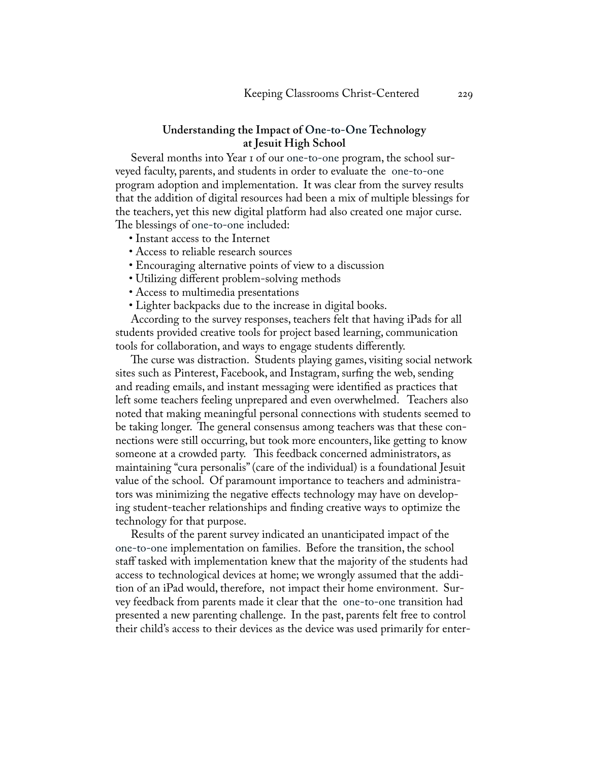## **Understanding the Impact of One-to-One Technology at Jesuit High School**

Several months into Year 1 of our one-to-one program, the school surveyed faculty, parents, and students in order to evaluate the one-to-one program adoption and implementation. It was clear from the survey results that the addition of digital resources had been a mix of multiple blessings for the teachers, yet this new digital platform had also created one major curse. The blessings of one-to-one included:

- Instant access to the Internet
- Access to reliable research sources
- Encouraging alternative points of view to a discussion
- Utilizing different problem-solving methods
- Access to multimedia presentations
- Lighter backpacks due to the increase in digital books.

According to the survey responses, teachers felt that having iPads for all students provided creative tools for project based learning, communication tools for collaboration, and ways to engage students differently.

The curse was distraction. Students playing games, visiting social network sites such as Pinterest, Facebook, and Instagram, surfing the web, sending and reading emails, and instant messaging were identified as practices that left some teachers feeling unprepared and even overwhelmed. Teachers also noted that making meaningful personal connections with students seemed to be taking longer. The general consensus among teachers was that these connections were still occurring, but took more encounters, like getting to know someone at a crowded party. This feedback concerned administrators, as maintaining "cura personalis" (care of the individual) is a foundational Jesuit value of the school. Of paramount importance to teachers and administrators was minimizing the negative effects technology may have on developing student-teacher relationships and finding creative ways to optimize the technology for that purpose.

Results of the parent survey indicated an unanticipated impact of the one-to-one implementation on families. Before the transition, the school staff tasked with implementation knew that the majority of the students had access to technological devices at home; we wrongly assumed that the addition of an iPad would, therefore, not impact their home environment. Survey feedback from parents made it clear that the one-to-one transition had presented a new parenting challenge. In the past, parents felt free to control their child's access to their devices as the device was used primarily for enter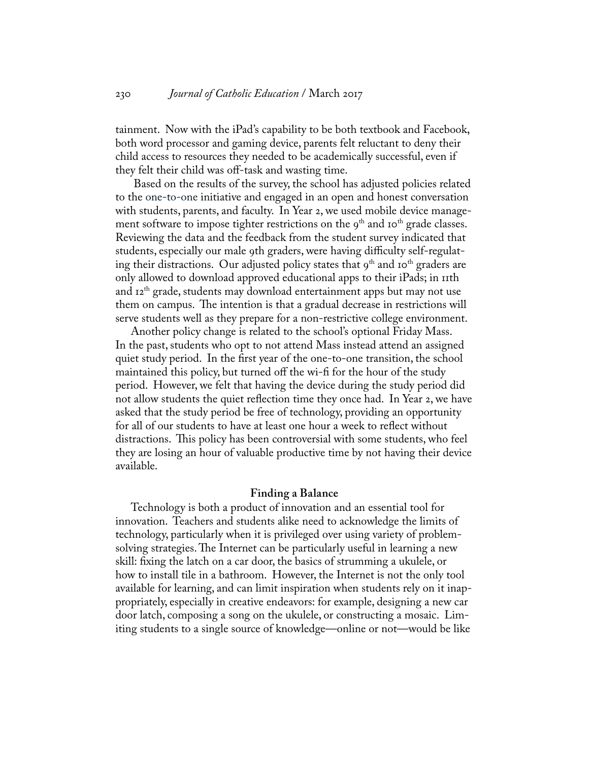tainment. Now with the iPad's capability to be both textbook and Facebook, both word processor and gaming device, parents felt reluctant to deny their child access to resources they needed to be academically successful, even if they felt their child was off-task and wasting time.

 Based on the results of the survey, the school has adjusted policies related to the one-to-one initiative and engaged in an open and honest conversation with students, parents, and faculty. In Year 2, we used mobile device management software to impose tighter restrictions on the  $9<sup>th</sup>$  and  $10<sup>th</sup>$  grade classes. Reviewing the data and the feedback from the student survey indicated that students, especially our male 9th graders, were having difficulty self-regulating their distractions. Our adjusted policy states that  $9<sup>th</sup>$  and  $10<sup>th</sup>$  graders are only allowed to download approved educational apps to their iPads; in 11th and 12th grade, students may download entertainment apps but may not use them on campus. The intention is that a gradual decrease in restrictions will serve students well as they prepare for a non-restrictive college environment.

Another policy change is related to the school's optional Friday Mass. In the past, students who opt to not attend Mass instead attend an assigned quiet study period. In the first year of the one-to-one transition, the school maintained this policy, but turned off the wi-fi for the hour of the study period. However, we felt that having the device during the study period did not allow students the quiet reflection time they once had. In Year 2, we have asked that the study period be free of technology, providing an opportunity for all of our students to have at least one hour a week to reflect without distractions. This policy has been controversial with some students, who feel they are losing an hour of valuable productive time by not having their device available.

#### **Finding a Balance**

Technology is both a product of innovation and an essential tool for innovation. Teachers and students alike need to acknowledge the limits of technology, particularly when it is privileged over using variety of problemsolving strategies. The Internet can be particularly useful in learning a new skill: fixing the latch on a car door, the basics of strumming a ukulele, or how to install tile in a bathroom. However, the Internet is not the only tool available for learning, and can limit inspiration when students rely on it inappropriately, especially in creative endeavors: for example, designing a new car door latch, composing a song on the ukulele, or constructing a mosaic. Limiting students to a single source of knowledge—online or not—would be like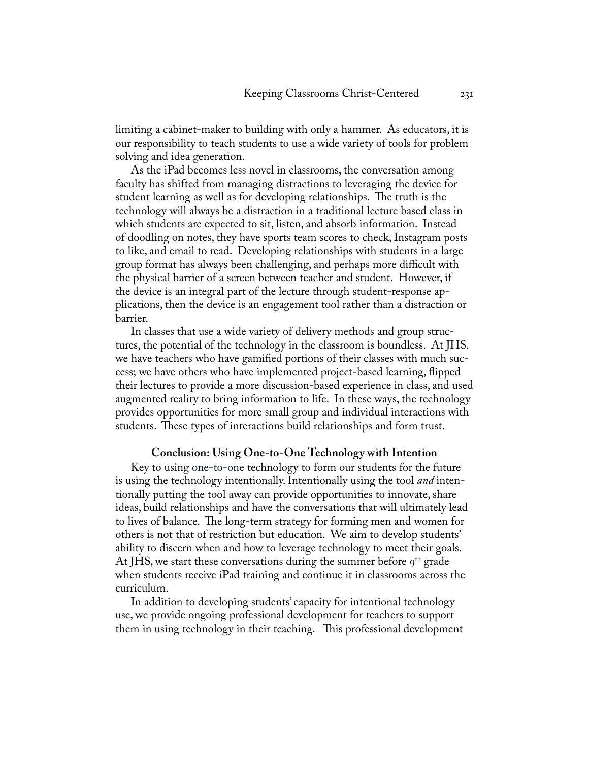limiting a cabinet-maker to building with only a hammer. As educators, it is our responsibility to teach students to use a wide variety of tools for problem solving and idea generation.

As the iPad becomes less novel in classrooms, the conversation among faculty has shifted from managing distractions to leveraging the device for student learning as well as for developing relationships. The truth is the technology will always be a distraction in a traditional lecture based class in which students are expected to sit, listen, and absorb information. Instead of doodling on notes, they have sports team scores to check, Instagram posts to like, and email to read. Developing relationships with students in a large group format has always been challenging, and perhaps more difficult with the physical barrier of a screen between teacher and student. However, if the device is an integral part of the lecture through student-response applications, then the device is an engagement tool rather than a distraction or barrier.

In classes that use a wide variety of delivery methods and group structures, the potential of the technology in the classroom is boundless. At JHS. we have teachers who have gamified portions of their classes with much success; we have others who have implemented project-based learning, flipped their lectures to provide a more discussion-based experience in class, and used augmented reality to bring information to life. In these ways, the technology provides opportunities for more small group and individual interactions with students. These types of interactions build relationships and form trust.

#### **Conclusion: Using One-to-One Technology with Intention**

Key to using one-to-one technology to form our students for the future is using the technology intentionally. Intentionally using the tool *and* intentionally putting the tool away can provide opportunities to innovate, share ideas, build relationships and have the conversations that will ultimately lead to lives of balance. The long-term strategy for forming men and women for others is not that of restriction but education. We aim to develop students' ability to discern when and how to leverage technology to meet their goals. At JHS, we start these conversations during the summer before  $9<sup>th</sup>$  grade when students receive iPad training and continue it in classrooms across the curriculum.

In addition to developing students' capacity for intentional technology use, we provide ongoing professional development for teachers to support them in using technology in their teaching. This professional development